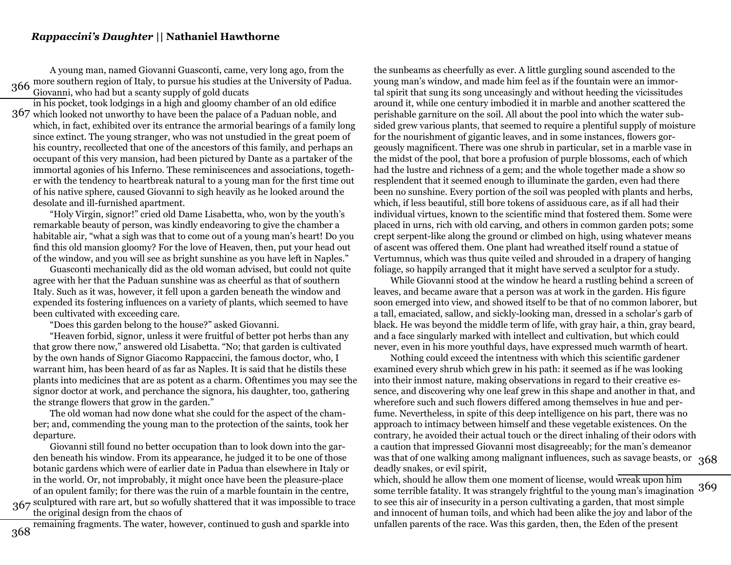A young man, named Giovanni Guasconti, came, very long ago, from the 366 more southern region of Italy, to pursue his studies at the University of Padua.<br>366 Cieronni who had but a seenty supply of sold dyeats Giovanni, who had but a scanty supply of gold ducats

in his pocket, took lodgings in a high and gloomy chamber of an old edifice 367 which looked not unworthy to have been the palace of a Paduan noble, and

which, in fact, exhibited over its entrance the armorial bearings of a family long since extinct. The young stranger, who was not unstudied in the great poem of his country, recollected that one of the ancestors of this family, and perhaps an occupant of this very mansion, had been pictured by Dante as a partaker of the immortal agonies of his Inferno. These reminiscences and associations, together with the tendency to heartbreak natural to a young man for the first time out of his native sphere, caused Giovanni to sigh heavily as he looked around the desolate and ill-furnished apartment.

"Holy Virgin, signor!" cried old Dame Lisabetta, who, won by the youth's remarkable beauty of person, was kindly endeavoring to give the chamber a habitable air, "what a sigh was that to come out of a young man's heart! Do you find this old mansion gloomy? For the love of Heaven, then, put your head out of the window, and you will see as bright sunshine as you have left in Naples."

Guasconti mechanically did as the old woman advised, but could not quite agree with her that the Paduan sunshine was as cheerful as that of southern Italy. Such as it was, however, it fell upon a garden beneath the window and expended its fostering influences on a variety of plants, which seemed to have been cultivated with exceeding care.

"Does this garden belong to the house?" asked Giovanni.

"Heaven forbid, signor, unless it were fruitful of better pot herbs than any that grow there now," answered old Lisabetta. "No; that garden is cultivated by the own hands of Signor Giacomo Rappaccini, the famous doctor, who, I warrant him, has been heard of as far as Naples. It is said that he distils these plants into medicines that are as potent as a charm. Oftentimes you may see the signor doctor at work, and perchance the signora, his daughter, too, gathering the strange flowers that grow in the garden."

The old woman had now done what she could for the aspect of the chamber; and, commending the young man to the protection of the saints, took her departure.

Giovanni still found no better occupation than to look down into the garden beneath his window. From its appearance, he judged it to be one of those botanic gardens which were of earlier date in Padua than elsewhere in Italy or in the world. Or, not improbably, it might once have been the pleasure-place of an opulent family; for there was the ruin of a marble fountain in the centre, 367 sculptured with rare art, but so wofully shattered that it was impossible to trace

the original design from the chaos of

remaining fragments. The water, however, continued to gush and sparkle into

the sunbeams as cheerfully as ever. A little gurgling sound ascended to the young man's window, and made him feel as if the fountain were an immortal spirit that sung its song unceasingly and without heeding the vicissitudes around it, while one century imbodied it in marble and another scattered the perishable garniture on the soil. All about the pool into which the water subsided grew various plants, that seemed to require a plentiful supply of moisture for the nourishment of gigantic leaves, and in some instances, flowers gorgeously magnificent. There was one shrub in particular, set in a marble vase in the midst of the pool, that bore a profusion of purple blossoms, each of which had the lustre and richness of a gem; and the whole together made a show so resplendent that it seemed enough to illuminate the garden, even had there been no sunshine. Every portion of the soil was peopled with plants and herbs, which, if less beautiful, still bore tokens of assiduous care, as if all had their individual virtues, known to the scientific mind that fostered them. Some were placed in urns, rich with old carving, and others in common garden pots; some crept serpent-like along the ground or climbed on high, using whatever means of ascent was offered them. One plant had wreathed itself round a statue of Vertumnus, which was thus quite veiled and shrouded in a drapery of hanging foliage, so happily arranged that it might have served a sculptor for a study.

While Giovanni stood at the window he heard a rustling behind a screen of leaves, and became aware that a person was at work in the garden. His figure soon emerged into view, and showed itself to be that of no common laborer, but a tall, emaciated, sallow, and sickly-looking man, dressed in a scholar's garb of black. He was beyond the middle term of life, with gray hair, a thin, gray beard, and a face singularly marked with intellect and cultivation, but which could never, even in his more youthful days, have expressed much warmth of heart.

Nothing could exceed the intentness with which this scientific gardener examined every shrub which grew in his path: it seemed as if he was looking into their inmost nature, making observations in regard to their creative essence, and discovering why one leaf grew in this shape and another in that, and wherefore such and such flowers differed among themselves in hue and perfume. Nevertheless, in spite of this deep intelligence on his part, there was no approach to intimacy between himself and these vegetable existences. On the contrary, he avoided their actual touch or the direct inhaling of their odors with a caution that impressed Giovanni most disagreeably; for the man's demeanor was that of one walking among malignant influences, such as savage beasts, or 368 deadly snakes, or evil spirit,

which, should he allow them one moment of license, would wreak upon him some terrible fatality. It was strangely frightful to the young man's imagination 369 to see this air of insecurity in a person cultivating a garden, that most simple and innocent of human toils, and which had been alike the joy and labor of the unfallen parents of the race. Was this garden, then, the Eden of the present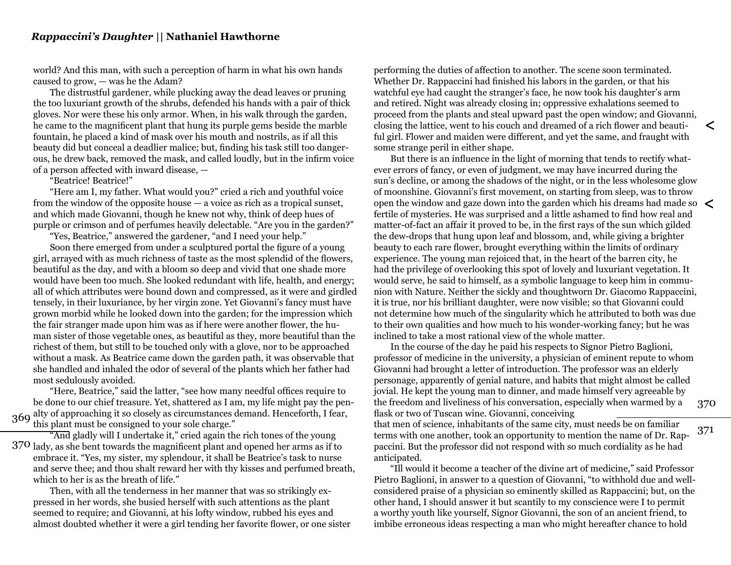world? And this man, with such a perception of harm in what his own hands caused to grow, — was he the Adam?

The distrustful gardener, while plucking away the dead leaves or pruning the too luxuriant growth of the shrubs, defended his hands with a pair of thick gloves. Nor were these his only armor. When, in his walk through the garden, he came to the magnificent plant that hung its purple gems beside the marble fountain, he placed a kind of mask over his mouth and nostrils, as if all this beauty did but conceal a deadlier malice; but, finding his task still too dangerous, he drew back, removed the mask, and called loudly, but in the infirm voice of a person affected with inward disease, —

"Beatrice! Beatrice!"

"Here am I, my father. What would you?" cried a rich and youthful voice from the window of the opposite house — a voice as rich as a tropical sunset, and which made Giovanni, though he knew not why, think of deep hues of purple or crimson and of perfumes heavily delectable. "Are you in the garden?"

"Yes, Beatrice," answered the gardener, "and I need your help."

Soon there emerged from under a sculptured portal the figure of a young girl, arrayed with as much richness of taste as the most splendid of the flowers, beautiful as the day, and with a bloom so deep and vivid that one shade more would have been too much. She looked redundant with life, health, and energy; all of which attributes were bound down and compressed, as it were and girdled tensely, in their luxuriance, by her virgin zone. Yet Giovanni's fancy must have grown morbid while he looked down into the garden; for the impression which the fair stranger made upon him was as if here were another flower, the human sister of those vegetable ones, as beautiful as they, more beautiful than the richest of them, but still to be touched only with a glove, nor to be approached without a mask. As Beatrice came down the garden path, it was observable that she handled and inhaled the odor of several of the plants which her father had most sedulously avoided.

"Here, Beatrice," said the latter, "see how many needful offices require to be done to our chief treasure. Yet, shattered as I am, my life might pay the pen-369 alty of approaching it so closely as circumstances demand. Henceforth, I fear, this plant must be consigned to your sole charge."

"And gladly will I undertake it," cried again the rich tones of the young 370 lady, as she bent towards the magnificent plant and opened her arms as if to embrace it. "Yes, my sister, my splendour, it shall be Beatrice's task to nurse and serve thee; and thou shalt reward her with thy kisses and perfumed breath, which to her is as the breath of life."

Then, with all the tenderness in her manner that was so strikingly expressed in her words, she busied herself with such attentions as the plant seemed to require; and Giovanni, at his lofty window, rubbed his eyes and almost doubted whether it were a girl tending her favorite flower, or one sister

performing the duties of affection to another. The scene soon terminated. Whether Dr. Rappaccini had finished his labors in the garden, or that his watchful eye had caught the stranger's face, he now took his daughter's arm and retired. Night was already closing in; oppressive exhalations seemed to proceed from the plants and steal upward past the open window; and Giovanni, closing the lattice, went to his couch and dreamed of a rich flower and beautiful girl. Flower and maiden were different, and yet the same, and fraught with some strange peril in either shape.

**<**

But there is an influence in the light of morning that tends to rectify whatever errors of fancy, or even of judgment, we may have incurred during the sun's decline, or among the shadows of the night, or in the less wholesome glow of moonshine. Giovanni's first movement, on starting from sleep, was to throw open the window and gaze down into the garden which his dreams had made so **<**fertile of mysteries. He was surprised and a little ashamed to find how real and matter-of-fact an affair it proved to be, in the first rays of the sun which gilded the dew-drops that hung upon leaf and blossom, and, while giving a brighter beauty to each rare flower, brought everything within the limits of ordinary experience. The young man rejoiced that, in the heart of the barren city, he had the privilege of overlooking this spot of lovely and luxuriant vegetation. It would serve, he said to himself, as a symbolic language to keep him in communion with Nature. Neither the sickly and thoughtworn Dr. Giacomo Rappaccini, it is true, nor his brilliant daughter, were now visible; so that Giovanni could not determine how much of the singularity which he attributed to both was due to their own qualities and how much to his wonder-working fancy; but he was inclined to take a most rational view of the whole matter.

In the course of the day he paid his respects to Signor Pietro Baglioni, professor of medicine in the university, a physician of eminent repute to whom Giovanni had brought a letter of introduction. The professor was an elderly personage, apparently of genial nature, and habits that might almost be called jovial. He kept the young man to dinner, and made himself very agreeable by the freedom and liveliness of his conversation, especially when warmed by a flask or two of Tuscan wine. Giovanni, conceiving 370

that men of science, inhabitants of the same city, must needs be on familiar terms with one another, took an opportunity to mention the name of Dr. Rappaccini. But the professor did not respond with so much cordiality as he had anticipated. 371

"Ill would it become a teacher of the divine art of medicine," said Professor Pietro Baglioni, in answer to a question of Giovanni, "to withhold due and wellconsidered praise of a physician so eminently skilled as Rappaccini; but, on the other hand, I should answer it but scantily to my conscience were I to permit a worthy youth like yourself, Signor Giovanni, the son of an ancient friend, to imbibe erroneous ideas respecting a man who might hereafter chance to hold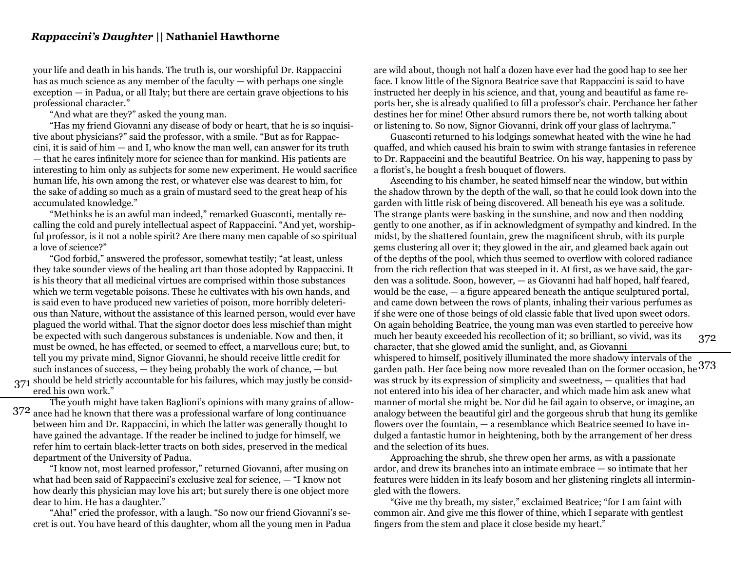your life and death in his hands. The truth is, our worshipful Dr. Rappaccini has as much science as any member of the faculty — with perhaps one single exception — in Padua, or all Italy; but there are certain grave objections to his professional character."

"And what are they?" asked the young man.

"Has my friend Giovanni any disease of body or heart, that he is so inquisitive about physicians?" said the professor, with a smile. "But as for Rappaccini, it is said of him  $-$  and I, who know the man well, can answer for its truth — that he cares infinitely more for science than for mankind. His patients are interesting to him only as subjects for some new experiment. He would sacrifice human life, his own among the rest, or whatever else was dearest to him, for the sake of adding so much as a grain of mustard seed to the great heap of his accumulated knowledge."

"Methinks he is an awful man indeed," remarked Guasconti, mentally recalling the cold and purely intellectual aspect of Rappaccini. "And yet, worshipful professor, is it not a noble spirit? Are there many men capable of so spiritual a love of science?"

"God forbid," answered the professor, somewhat testily; "at least, unless they take sounder views of the healing art than those adopted by Rappaccini. It is his theory that all medicinal virtues are comprised within those substances which we term vegetable poisons. These he cultivates with his own hands, and is said even to have produced new varieties of poison, more horribly deleterious than Nature, without the assistance of this learned person, would ever have plagued the world withal. That the signor doctor does less mischief than might be expected with such dangerous substances is undeniable. Now and then, it must be owned, he has effected, or seemed to effect, a marvellous cure; but, to tell you my private mind, Signor Giovanni, he should receive little credit for such instances of success, — they being probably the work of chance, — but  $371$  should be held strictly accountable for his failures, which may justly be considered his own work."

The youth might have taken Baglioni's opinions with many grains of allow-372 ance had he known that there was a professional warfare of long continuance between him and Dr. Rappaccini, in which the latter was generally thought to have gained the advantage. If the reader be inclined to judge for himself, we refer him to certain black-letter tracts on both sides, preserved in the medical department of the University of Padua.

"I know not, most learned professor," returned Giovanni, after musing on what had been said of Rappaccini's exclusive zeal for science, — "I know not how dearly this physician may love his art; but surely there is one object more dear to him. He has a daughter."

"Aha!" cried the professor, with a laugh. "So now our friend Giovanni's secret is out. You have heard of this daughter, whom all the young men in Padua

are wild about, though not half a dozen have ever had the good hap to see her face. I know little of the Signora Beatrice save that Rappaccini is said to have instructed her deeply in his science, and that, young and beautiful as fame reports her, she is already qualified to fill a professor's chair. Perchance her father destines her for mine! Other absurd rumors there be, not worth talking about or listening to. So now, Signor Giovanni, drink off your glass of lachryma."

Guasconti returned to his lodgings somewhat heated with the wine he had quaffed, and which caused his brain to swim with strange fantasies in reference to Dr. Rappaccini and the beautiful Beatrice. On his way, happening to pass by a florist's, he bought a fresh bouquet of flowers.

Ascending to his chamber, he seated himself near the window, but within the shadow thrown by the depth of the wall, so that he could look down into the garden with little risk of being discovered. All beneath his eye was a solitude. The strange plants were basking in the sunshine, and now and then nodding gently to one another, as if in acknowledgment of sympathy and kindred. In the midst, by the shattered fountain, grew the magnificent shrub, with its purple gems clustering all over it; they glowed in the air, and gleamed back again out of the depths of the pool, which thus seemed to overflow with colored radiance from the rich reflection that was steeped in it. At first, as we have said, the garden was a solitude. Soon, however, — as Giovanni had half hoped, half feared, would be the case, — a figure appeared beneath the antique sculptured portal, and came down between the rows of plants, inhaling their various perfumes as if she were one of those beings of old classic fable that lived upon sweet odors. On again beholding Beatrice, the young man was even startled to perceive how much her beauty exceeded his recollection of it; so brilliant, so vivid, was its character, that she glowed amid the sunlight, and, as Giovanni whispered to himself, positively illuminated the more shadowy intervals of the whispered to ministri, positively mainlineated the more shadowy intervals of the agarden path. Her face being now more revealed than on the former occasion, he 373 was struck by its expression of simplicity and sweetness, — qualities that had not entered into his idea of her character, and which made him ask anew what manner of mortal she might be. Nor did he fail again to observe, or imagine, an analogy between the beautiful girl and the gorgeous shrub that hung its gemlike flowers over the fountain, — a resemblance which Beatrice seemed to have indulged a fantastic humor in heightening, both by the arrangement of her dress and the selection of its hues. 372

Approaching the shrub, she threw open her arms, as with a passionate ardor, and drew its branches into an intimate embrace — so intimate that her features were hidden in its leafy bosom and her glistening ringlets all intermingled with the flowers.

"Give me thy breath, my sister," exclaimed Beatrice; "for I am faint with common air. And give me this flower of thine, which I separate with gentlest fingers from the stem and place it close beside my heart."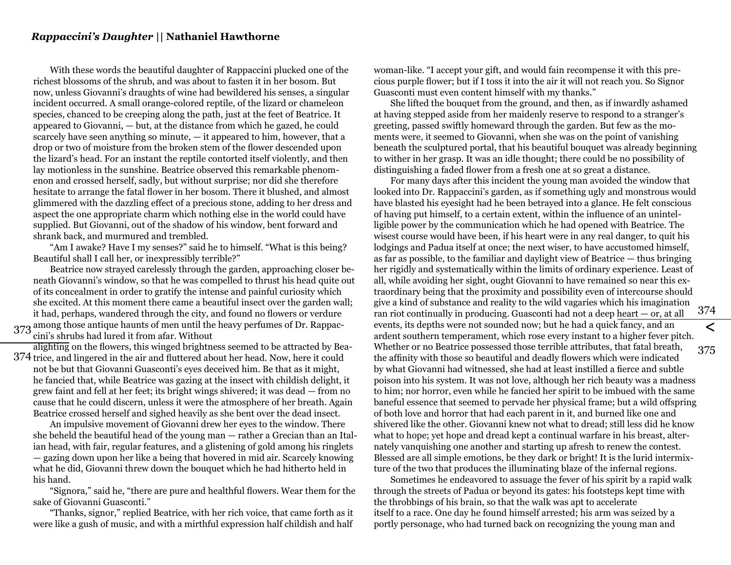With these words the beautiful daughter of Rappaccini plucked one of the richest blossoms of the shrub, and was about to fasten it in her bosom. But now, unless Giovanni's draughts of wine had bewildered his senses, a singular incident occurred. A small orange-colored reptile, of the lizard or chameleon species, chanced to be creeping along the path, just at the feet of Beatrice. It appeared to Giovanni, — but, at the distance from which he gazed, he could scarcely have seen anything so minute, — it appeared to him, however, that a drop or two of moisture from the broken stem of the flower descended upon the lizard's head. For an instant the reptile contorted itself violently, and then lay motionless in the sunshine. Beatrice observed this remarkable phenomenon and crossed herself, sadly, but without surprise; nor did she therefore hesitate to arrange the fatal flower in her bosom. There it blushed, and almost glimmered with the dazzling effect of a precious stone, adding to her dress and aspect the one appropriate charm which nothing else in the world could have supplied. But Giovanni, out of the shadow of his window, bent forward and shrank back, and murmured and trembled.

"Am I awake? Have I my senses?" said he to himself. "What is this being? Beautiful shall I call her, or inexpressibly terrible?"

Beatrice now strayed carelessly through the garden, approaching closer beneath Giovanni's window, so that he was compelled to thrust his head quite out of its concealment in order to gratify the intense and painful curiosity which she excited. At this moment there came a beautiful insect over the garden wall; it had, perhaps, wandered through the city, and found no flowers or verdure 373 among those antique haunts of men until the heavy perfumes of Dr. Rappac-

cini's shrubs had lured it from afar. Without

alighting on the flowers, this winged brightness seemed to be attracted by Bea-

374 trice, and lingered in the air and fluttered about her head. Now, here it could not be but that Giovanni Guasconti's eyes deceived him. Be that as it might, he fancied that, while Beatrice was gazing at the insect with childish delight, it grew faint and fell at her feet; its bright wings shivered; it was dead — from no cause that he could discern, unless it were the atmosphere of her breath. Again Beatrice crossed herself and sighed heavily as she bent over the dead insect.

An impulsive movement of Giovanni drew her eyes to the window. There she beheld the beautiful head of the young man — rather a Grecian than an Italian head, with fair, regular features, and a glistening of gold among his ringlets — gazing down upon her like a being that hovered in mid air. Scarcely knowing what he did, Giovanni threw down the bouquet which he had hitherto held in his hand.

"Signora," said he, "there are pure and healthful flowers. Wear them for the sake of Giovanni Guasconti."

"Thanks, signor," replied Beatrice, with her rich voice, that came forth as it were like a gush of music, and with a mirthful expression half childish and half

woman-like. "I accept your gift, and would fain recompense it with this precious purple flower; but if I toss it into the air it will not reach you. So Signor Guasconti must even content himself with my thanks."

She lifted the bouquet from the ground, and then, as if inwardly ashamed at having stepped aside from her maidenly reserve to respond to a stranger's greeting, passed swiftly homeward through the garden. But few as the moments were, it seemed to Giovanni, when she was on the point of vanishing beneath the sculptured portal, that his beautiful bouquet was already beginning to wither in her grasp. It was an idle thought; there could be no possibility of distinguishing a faded flower from a fresh one at so great a distance.

For many days after this incident the young man avoided the window that looked into Dr. Rappaccini's garden, as if something ugly and monstrous would have blasted his eyesight had he been betrayed into a glance. He felt conscious of having put himself, to a certain extent, within the influence of an unintelligible power by the communication which he had opened with Beatrice. The wisest course would have been, if his heart were in any real danger, to quit his lodgings and Padua itself at once; the next wiser, to have accustomed himself, as far as possible, to the familiar and daylight view of Beatrice — thus bringing her rigidly and systematically within the limits of ordinary experience. Least of all, while avoiding her sight, ought Giovanni to have remained so near this extraordinary being that the proximity and possibility even of intercourse should give a kind of substance and reality to the wild vagaries which his imagination ran riot continually in producing. Guasconti had not a deep heart — or, at all events, its depths were not sounded now; but he had a quick fancy, and an ardent southern temperament, which rose every instant to a higher fever pitch. Whether or no Beatrice possessed those terrible attributes, that fatal breath, the affinity with those so beautiful and deadly flowers which were indicated by what Giovanni had witnessed, she had at least instilled a fierce and subtle poison into his system. It was not love, although her rich beauty was a madness to him; nor horror, even while he fancied her spirit to be imbued with the same baneful essence that seemed to pervade her physical frame; but a wild offspring of both love and horror that had each parent in it, and burned like one and shivered like the other. Giovanni knew not what to dread; still less did he know what to hope; yet hope and dread kept a continual warfare in his breast, alternately vanquishing one another and starting up afresh to renew the contest. Blessed are all simple emotions, be they dark or bright! It is the lurid intermixture of the two that produces the illuminating blaze of the infernal regions. 374 375

**<**

Sometimes he endeavored to assuage the fever of his spirit by a rapid walk through the streets of Padua or beyond its gates: his footsteps kept time with the throbbings of his brain, so that the walk was apt to accelerate itself to a race. One day he found himself arrested; his arm was seized by a portly personage, who had turned back on recognizing the young man and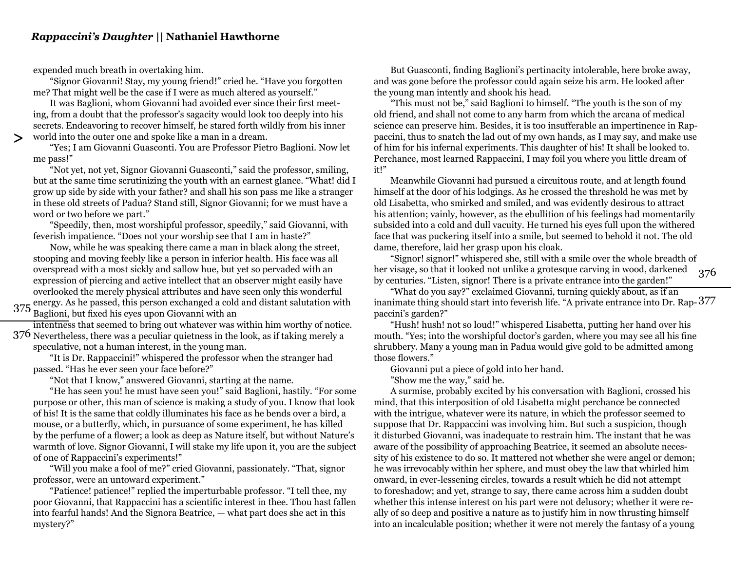expended much breath in overtaking him.

**<**

"Signor Giovanni! Stay, my young friend!" cried he. "Have you forgotten me? That might well be the case if I were as much altered as yourself."

It was Baglioni, whom Giovanni had avoided ever since their first meeting, from a doubt that the professor's sagacity would look too deeply into his secrets. Endeavoring to recover himself, he stared forth wildly from his inner world into the outer one and spoke like a man in a dream.

"Yes; I am Giovanni Guasconti. You are Professor Pietro Baglioni. Now let me pass!"

"Not yet, not yet, Signor Giovanni Guasconti," said the professor, smiling, but at the same time scrutinizing the youth with an earnest glance. "What! did I grow up side by side with your father? and shall his son pass me like a stranger in these old streets of Padua? Stand still, Signor Giovanni; for we must have a word or two before we part."

"Speedily, then, most worshipful professor, speedily," said Giovanni, with feverish impatience. "Does not your worship see that I am in haste?"

Now, while he was speaking there came a man in black along the street, stooping and moving feebly like a person in inferior health. His face was all overspread with a most sickly and sallow hue, but yet so pervaded with an expression of piercing and active intellect that an observer might easily have overlooked the merely physical attributes and have seen only this wonderful energy. As he passed, this person exchanged a cold and distant salutation with 375 energy. As ne passed, uns person exchanged a cold<br>Baglioni, but fixed his eyes upon Giovanni with an

intentness that seemed to bring out whatever was within him worthy of notice.  $376$  Nevertheless, there was a peculiar quietness in the look, as if taking merely a speculative, not a human interest, in the young man.

"It is Dr. Rappaccini!" whispered the professor when the stranger had passed. "Has he ever seen your face before?"

"Not that I know," answered Giovanni, starting at the name.

"He has seen you! he must have seen you!" said Baglioni, hastily. "For some purpose or other, this man of science is making a study of you. I know that look of his! It is the same that coldly illuminates his face as he bends over a bird, a mouse, or a butterfly, which, in pursuance of some experiment, he has killed by the perfume of a flower; a look as deep as Nature itself, but without Nature's warmth of love. Signor Giovanni, I will stake my life upon it, you are the subject of one of Rappaccini's experiments!"

"Will you make a fool of me?" cried Giovanni, passionately. "That, signor professor, were an untoward experiment."

"Patience! patience!" replied the imperturbable professor. "I tell thee, my poor Giovanni, that Rappaccini has a scientific interest in thee. Thou hast fallen into fearful hands! And the Signora Beatrice, — what part does she act in this mystery?"

But Guasconti, finding Baglioni's pertinacity intolerable, here broke away, and was gone before the professor could again seize his arm. He looked after the young man intently and shook his head.

"This must not be," said Baglioni to himself. "The youth is the son of my old friend, and shall not come to any harm from which the arcana of medical science can preserve him. Besides, it is too insufferable an impertinence in Rappaccini, thus to snatch the lad out of my own hands, as I may say, and make use of him for his infernal experiments. This daughter of his! It shall be looked to. Perchance, most learned Rappaccini, I may foil you where you little dream of it!"

Meanwhile Giovanni had pursued a circuitous route, and at length found himself at the door of his lodgings. As he crossed the threshold he was met by old Lisabetta, who smirked and smiled, and was evidently desirous to attract his attention; vainly, however, as the ebullition of his feelings had momentarily subsided into a cold and dull vacuity. He turned his eyes full upon the withered face that was puckering itself into a smile, but seemed to behold it not. The old dame, therefore, laid her grasp upon his cloak.

"Signor! signor!" whispered she, still with a smile over the whole breadth of her visage, so that it looked not unlike a grotesque carving in wood, darkened by centuries. "Listen, signor! There is a private entrance into the garden!" 376

"What do you say?" exclaimed Giovanni, turning quickly about, as if an inanimate thing should start into feverish life. "A private entrance into Dr. Rap-377 paccini's garden?"

"Hush! hush! not so loud!" whispered Lisabetta, putting her hand over his mouth. "Yes; into the worshipful doctor's garden, where you may see all his fine shrubbery. Many a young man in Padua would give gold to be admitted among those flowers."

Giovanni put a piece of gold into her hand.

"Show me the way," said he.

A surmise, probably excited by his conversation with Baglioni, crossed his mind, that this interposition of old Lisabetta might perchance be connected with the intrigue, whatever were its nature, in which the professor seemed to suppose that Dr. Rappaccini was involving him. But such a suspicion, though it disturbed Giovanni, was inadequate to restrain him. The instant that he was aware of the possibility of approaching Beatrice, it seemed an absolute necessity of his existence to do so. It mattered not whether she were angel or demon; he was irrevocably within her sphere, and must obey the law that whirled him onward, in ever-lessening circles, towards a result which he did not attempt to foreshadow; and yet, strange to say, there came across him a sudden doubt whether this intense interest on his part were not delusory; whether it were really of so deep and positive a nature as to justify him in now thrusting himself into an incalculable position; whether it were not merely the fantasy of a young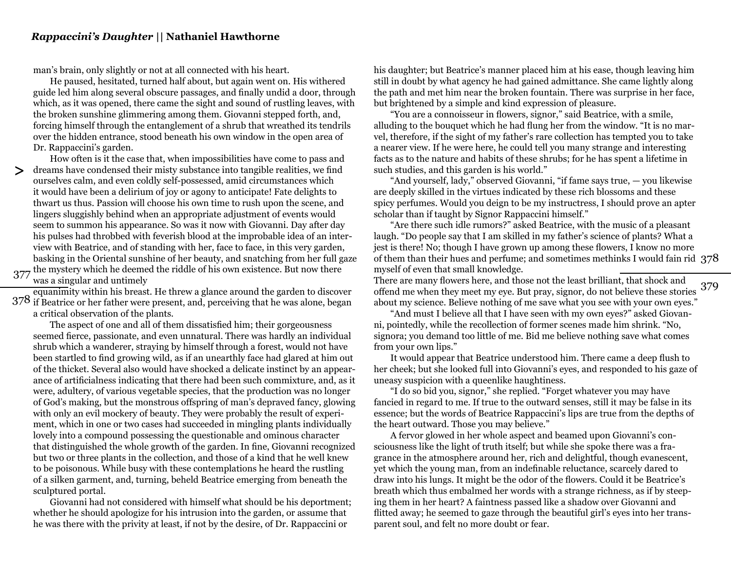man's brain, only slightly or not at all connected with his heart.

He paused, hesitated, turned half about, but again went on. His withered guide led him along several obscure passages, and finally undid a door, through which, as it was opened, there came the sight and sound of rustling leaves, with the broken sunshine glimmering among them. Giovanni stepped forth, and, forcing himself through the entanglement of a shrub that wreathed its tendrils over the hidden entrance, stood beneath his own window in the open area of Dr. Rappaccini's garden.

How often is it the case that, when impossibilities have come to pass and dreams have condensed their misty substance into tangible realities, we find ourselves calm, and even coldly self-possessed, amid circumstances which it would have been a delirium of joy or agony to anticipate! Fate delights to thwart us thus. Passion will choose his own time to rush upon the scene, and lingers sluggishly behind when an appropriate adjustment of events would seem to summon his appearance. So was it now with Giovanni. Day after day his pulses had throbbed with feverish blood at the improbable idea of an interview with Beatrice, and of standing with her, face to face, in this very garden, basking in the Oriental sunshine of her beauty, and snatching from her full gaze  $377$  the mystery which he deemed the riddle of his own existence. But now there **<**

was a singular and untimely

equanimity within his breast. He threw a glance around the garden to discover

378 if Beatrice or her father were present, and, perceiving that he was alone, began a critical observation of the plants.

The aspect of one and all of them dissatisfied him; their gorgeousness seemed fierce, passionate, and even unnatural. There was hardly an individual shrub which a wanderer, straying by himself through a forest, would not have been startled to find growing wild, as if an unearthly face had glared at him out of the thicket. Several also would have shocked a delicate instinct by an appearance of artificialness indicating that there had been such commixture, and, as it were, adultery, of various vegetable species, that the production was no longer of God's making, but the monstrous offspring of man's depraved fancy, glowing with only an evil mockery of beauty. They were probably the result of experiment, which in one or two cases had succeeded in mingling plants individually lovely into a compound possessing the questionable and ominous character that distinguished the whole growth of the garden. In fine, Giovanni recognized but two or three plants in the collection, and those of a kind that he well knew to be poisonous. While busy with these contemplations he heard the rustling of a silken garment, and, turning, beheld Beatrice emerging from beneath the sculptured portal.

Giovanni had not considered with himself what should be his deportment; whether he should apologize for his intrusion into the garden, or assume that he was there with the privity at least, if not by the desire, of Dr. Rappaccini or

his daughter; but Beatrice's manner placed him at his ease, though leaving him still in doubt by what agency he had gained admittance. She came lightly along the path and met him near the broken fountain. There was surprise in her face, but brightened by a simple and kind expression of pleasure.

"You are a connoisseur in flowers, signor," said Beatrice, with a smile, alluding to the bouquet which he had flung her from the window. "It is no marvel, therefore, if the sight of my father's rare collection has tempted you to take a nearer view. If he were here, he could tell you many strange and interesting facts as to the nature and habits of these shrubs; for he has spent a lifetime in such studies, and this garden is his world."

"And yourself, lady," observed Giovanni, "if fame says true, — you likewise are deeply skilled in the virtues indicated by these rich blossoms and these spicy perfumes. Would you deign to be my instructress, I should prove an apter scholar than if taught by Signor Rappaccini himself."

"Are there such idle rumors?" asked Beatrice, with the music of a pleasant laugh. "Do people say that I am skilled in my father's science of plants? What a jest is there! No; though I have grown up among these flowers, I know no more of them than their hues and perfume; and sometimes methinks I would fain rid 378 myself of even that small knowledge.

There are many flowers here, and those not the least brilliant, that shock and offend me when they meet my eye. But pray, signor, do not believe these stories about my science. Believe nothing of me save what you see with your own eyes." 379

"And must I believe all that I have seen with my own eyes?" asked Giovanni, pointedly, while the recollection of former scenes made him shrink. "No, signora; you demand too little of me. Bid me believe nothing save what comes from your own lips."

It would appear that Beatrice understood him. There came a deep flush to her cheek; but she looked full into Giovanni's eyes, and responded to his gaze of uneasy suspicion with a queenlike haughtiness.

"I do so bid you, signor," she replied. "Forget whatever you may have fancied in regard to me. If true to the outward senses, still it may be false in its essence; but the words of Beatrice Rappaccini's lips are true from the depths of the heart outward. Those you may believe."

A fervor glowed in her whole aspect and beamed upon Giovanni's consciousness like the light of truth itself; but while she spoke there was a fragrance in the atmosphere around her, rich and delightful, though evanescent, yet which the young man, from an indefinable reluctance, scarcely dared to draw into his lungs. It might be the odor of the flowers. Could it be Beatrice's breath which thus embalmed her words with a strange richness, as if by steeping them in her heart? A faintness passed like a shadow over Giovanni and flitted away; he seemed to gaze through the beautiful girl's eyes into her transparent soul, and felt no more doubt or fear.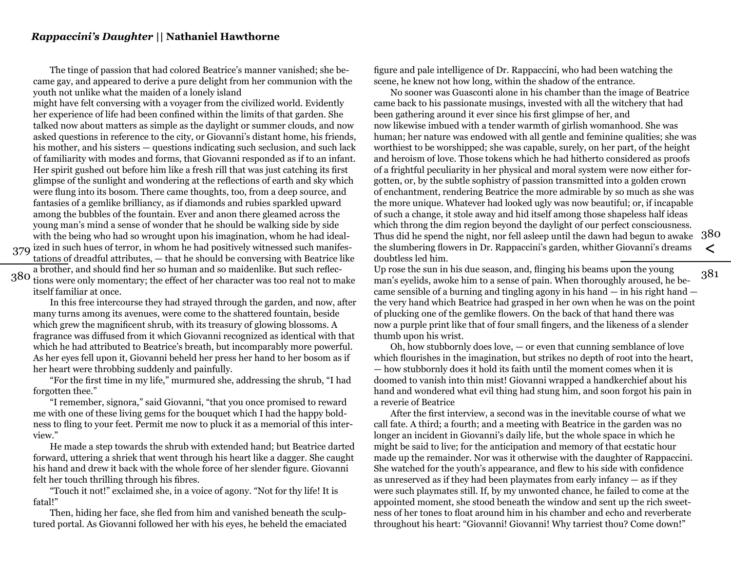The tinge of passion that had colored Beatrice's manner vanished; she became gay, and appeared to derive a pure delight from her communion with the youth not unlike what the maiden of a lonely island

might have felt conversing with a voyager from the civilized world. Evidently her experience of life had been confined within the limits of that garden. She talked now about matters as simple as the daylight or summer clouds, and now asked questions in reference to the city, or Giovanni's distant home, his friends, his mother, and his sisters — questions indicating such seclusion, and such lack of familiarity with modes and forms, that Giovanni responded as if to an infant. Her spirit gushed out before him like a fresh rill that was just catching its first glimpse of the sunlight and wondering at the reflections of earth and sky which were flung into its bosom. There came thoughts, too, from a deep source, and fantasies of a gemlike brilliancy, as if diamonds and rubies sparkled upward among the bubbles of the fountain. Ever and anon there gleamed across the young man's mind a sense of wonder that he should be walking side by side with the being who had so wrought upon his imagination, whom he had ideal-379 ized in such hues of terror, in whom he had positively witnessed such manifes-

tations of dreadful attributes, — that he should be conversing with Beatrice like a brother, and should find her so human and so maidenlike. But such reflec-380 dons were only momentary; the effect of her character was too real not to make itself familiar at once.

In this free intercourse they had strayed through the garden, and now, after many turns among its avenues, were come to the shattered fountain, beside which grew the magnificent shrub, with its treasury of glowing blossoms. A fragrance was diffused from it which Giovanni recognized as identical with that which he had attributed to Beatrice's breath, but incomparably more powerful. As her eyes fell upon it, Giovanni beheld her press her hand to her bosom as if her heart were throbbing suddenly and painfully.

"For the first time in my life," murmured she, addressing the shrub, "I had forgotten thee."

"I remember, signora," said Giovanni, "that you once promised to reward me with one of these living gems for the bouquet which I had the happy boldness to fling to your feet. Permit me now to pluck it as a memorial of this interview."

He made a step towards the shrub with extended hand; but Beatrice darted forward, uttering a shriek that went through his heart like a dagger. She caught his hand and drew it back with the whole force of her slender figure. Giovanni felt her touch thrilling through his fibres.

"Touch it not!" exclaimed she, in a voice of agony. "Not for thy life! It is fatal!"

Then, hiding her face, she fled from him and vanished beneath the sculptured portal. As Giovanni followed her with his eyes, he beheld the emaciated

figure and pale intelligence of Dr. Rappaccini, who had been watching the scene, he knew not how long, within the shadow of the entrance.

No sooner was Guasconti alone in his chamber than the image of Beatrice came back to his passionate musings, invested with all the witchery that had been gathering around it ever since his first glimpse of her, and now likewise imbued with a tender warmth of girlish womanhood. She was human; her nature was endowed with all gentle and feminine qualities; she was worthiest to be worshipped; she was capable, surely, on her part, of the height and heroism of love. Those tokens which he had hitherto considered as proofs of a frightful peculiarity in her physical and moral system were now either forgotten, or, by the subtle sophistry of passion transmitted into a golden crown of enchantment, rendering Beatrice the more admirable by so much as she was the more unique. Whatever had looked ugly was now beautiful; or, if incapable of such a change, it stole away and hid itself among those shapeless half ideas which throng the dim region beyond the daylight of our perfect consciousness. Thus did he spend the night, nor fell asleep until the dawn had begun to awake the slumbering flowers in Dr. Rappaccini's garden, whither Giovanni's dreams doubtless led him. 380

Up rose the sun in his due season, and, flinging his beams upon the young man's eyelids, awoke him to a sense of pain. When thoroughly aroused, he became sensible of a burning and tingling agony in his hand — in his right hand the very hand which Beatrice had grasped in her own when he was on the point of plucking one of the gemlike flowers. On the back of that hand there was now a purple print like that of four small fingers, and the likeness of a slender thumb upon his wrist.

381

**<**

Oh, how stubbornly does love, — or even that cunning semblance of love which flourishes in the imagination, but strikes no depth of root into the heart, — how stubbornly does it hold its faith until the moment comes when it is doomed to vanish into thin mist! Giovanni wrapped a handkerchief about his hand and wondered what evil thing had stung him, and soon forgot his pain in a reverie of Beatrice

After the first interview, a second was in the inevitable course of what we call fate. A third; a fourth; and a meeting with Beatrice in the garden was no longer an incident in Giovanni's daily life, but the whole space in which he might be said to live; for the anticipation and memory of that ecstatic hour made up the remainder. Nor was it otherwise with the daughter of Rappaccini. She watched for the youth's appearance, and flew to his side with confidence as unreserved as if they had been playmates from early infancy — as if they were such playmates still. If, by my unwonted chance, he failed to come at the appointed moment, she stood beneath the window and sent up the rich sweetness of her tones to float around him in his chamber and echo and reverberate throughout his heart: "Giovanni! Giovanni! Why tarriest thou? Come down!"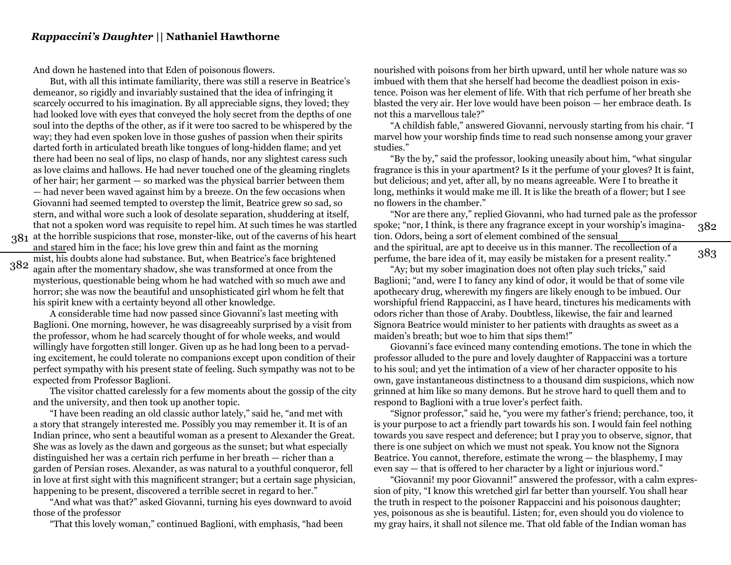And down he hastened into that Eden of poisonous flowers.

But, with all this intimate familiarity, there was still a reserve in Beatrice's demeanor, so rigidly and invariably sustained that the idea of infringing it scarcely occurred to his imagination. By all appreciable signs, they loved; they had looked love with eyes that conveyed the holy secret from the depths of one soul into the depths of the other, as if it were too sacred to be whispered by the way; they had even spoken love in those gushes of passion when their spirits darted forth in articulated breath like tongues of long-hidden flame; and yet there had been no seal of lips, no clasp of hands, nor any slightest caress such as love claims and hallows. He had never touched one of the gleaming ringlets of her hair; her garment — so marked was the physical barrier between them — had never been waved against him by a breeze. On the few occasions when Giovanni had seemed tempted to overstep the limit, Beatrice grew so sad, so stern, and withal wore such a look of desolate separation, shuddering at itself, that not a spoken word was requisite to repel him. At such times he was startled at the horrible suspicions that rose, monster-like, out of the caverns of his heart 381 and stared him in the face; his love grew thin and faint as the morning mist, his doubts alone had substance. But, when Beatrice's face brightened

again after the momentary shadow, she was transformed at once from the mysterious, questionable being whom he had watched with so much awe and horror; she was now the beautiful and unsophisticated girl whom he felt that his spirit knew with a certainty beyond all other knowledge. 382

A considerable time had now passed since Giovanni's last meeting with Baglioni. One morning, however, he was disagreeably surprised by a visit from the professor, whom he had scarcely thought of for whole weeks, and would willingly have forgotten still longer. Given up as he had long been to a pervading excitement, he could tolerate no companions except upon condition of their perfect sympathy with his present state of feeling. Such sympathy was not to be expected from Professor Baglioni.

The visitor chatted carelessly for a few moments about the gossip of the city and the university, and then took up another topic.

"I have been reading an old classic author lately," said he, "and met with a story that strangely interested me. Possibly you may remember it. It is of an Indian prince, who sent a beautiful woman as a present to Alexander the Great. She was as lovely as the dawn and gorgeous as the sunset; but what especially distinguished her was a certain rich perfume in her breath — richer than a garden of Persian roses. Alexander, as was natural to a youthful conqueror, fell in love at first sight with this magnificent stranger; but a certain sage physician, happening to be present, discovered a terrible secret in regard to her."

"And what was that?" asked Giovanni, turning his eyes downward to avoid those of the professor

"That this lovely woman," continued Baglioni, with emphasis, "had been

nourished with poisons from her birth upward, until her whole nature was so imbued with them that she herself had become the deadliest poison in existence. Poison was her element of life. With that rich perfume of her breath she blasted the very air. Her love would have been poison — her embrace death. Is not this a marvellous tale?"

"A childish fable," answered Giovanni, nervously starting from his chair. "I marvel how your worship finds time to read such nonsense among your graver studies."

"By the by," said the professor, looking uneasily about him, "what singular fragrance is this in your apartment? Is it the perfume of your gloves? It is faint, but delicious; and yet, after all, by no means agreeable. Were I to breathe it long, methinks it would make me ill. It is like the breath of a flower; but I see no flowers in the chamber."

"Nor are there any," replied Giovanni, who had turned pale as the professor spoke; "nor, I think, is there any fragrance except in your worship's imagination. Odors, being a sort of element combined of the sensual and the spiritual, are apt to deceive us in this manner. The recollection of a perfume, the bare idea of it, may easily be mistaken for a present reality." 382 383

"Ay; but my sober imagination does not often play such tricks," said Baglioni; "and, were I to fancy any kind of odor, it would be that of some vile apothecary drug, wherewith my fingers are likely enough to be imbued. Our worshipful friend Rappaccini, as I have heard, tinctures his medicaments with odors richer than those of Araby. Doubtless, likewise, the fair and learned Signora Beatrice would minister to her patients with draughts as sweet as a maiden's breath; but woe to him that sips them!"

Giovanni's face evinced many contending emotions. The tone in which the professor alluded to the pure and lovely daughter of Rappaccini was a torture to his soul; and yet the intimation of a view of her character opposite to his own, gave instantaneous distinctness to a thousand dim suspicions, which now grinned at him like so many demons. But he strove hard to quell them and to respond to Baglioni with a true lover's perfect faith.

"Signor professor," said he, "you were my father's friend; perchance, too, it is your purpose to act a friendly part towards his son. I would fain feel nothing towards you save respect and deference; but I pray you to observe, signor, that there is one subject on which we must not speak. You know not the Signora Beatrice. You cannot, therefore, estimate the wrong — the blasphemy, I may even say — that is offered to her character by a light or injurious word."

"Giovanni! my poor Giovanni!" answered the professor, with a calm expression of pity, "I know this wretched girl far better than yourself. You shall hear the truth in respect to the poisoner Rappaccini and his poisonous daughter; yes, poisonous as she is beautiful. Listen; for, even should you do violence to my gray hairs, it shall not silence me. That old fable of the Indian woman has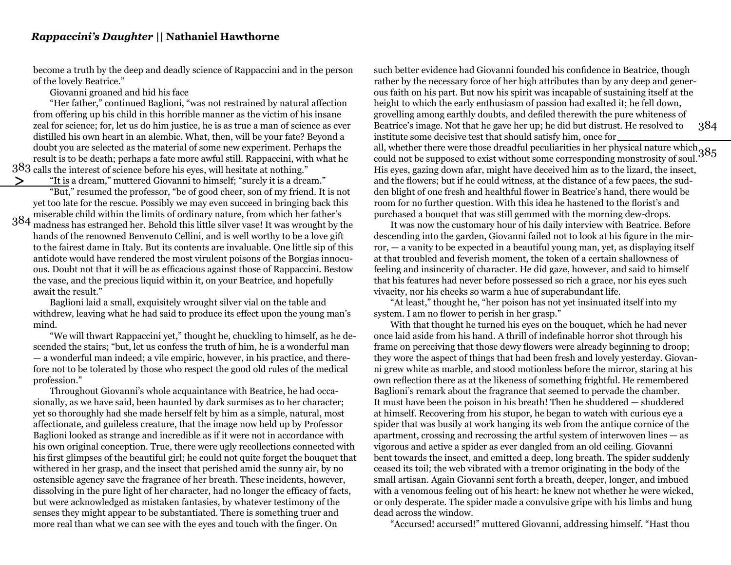become a truth by the deep and deadly science of Rappaccini and in the person of the lovely Beatrice."

Giovanni groaned and hid his face

**<**

"Her father," continued Baglioni, "was not restrained by natural affection from offering up his child in this horrible manner as the victim of his insane zeal for science; for, let us do him justice, he is as true a man of science as ever distilled his own heart in an alembic. What, then, will be your fate? Beyond a doubt you are selected as the material of some new experiment. Perhaps the result is to be death; perhaps a fate more awful still. Rappaccini, with what he  $383$  calls the interest of science before his eyes, will hesitate at nothing."

"It is a dream," muttered Giovanni to himself; "surely it is a dream."

"But," resumed the professor, "be of good cheer, son of my friend. It is not yet too late for the rescue. Possibly we may even succeed in bringing back this miserable child within the limits of ordinary nature, from which her father's

madness has estranged her. Behold this little silver vase! It was wrought by the 384 hands of the renowned Benvenuto Cellini, and is well worthy to be a love gift to the fairest dame in Italy. But its contents are invaluable. One little sip of this antidote would have rendered the most virulent poisons of the Borgias innocuous. Doubt not that it will be as efficacious against those of Rappaccini. Bestow the vase, and the precious liquid within it, on your Beatrice, and hopefully await the result."

Baglioni laid a small, exquisitely wrought silver vial on the table and withdrew, leaving what he had said to produce its effect upon the young man's mind.

"We will thwart Rappaccini yet," thought he, chuckling to himself, as he descended the stairs; "but, let us confess the truth of him, he is a wonderful man — a wonderful man indeed; a vile empiric, however, in his practice, and therefore not to be tolerated by those who respect the good old rules of the medical profession."

Throughout Giovanni's whole acquaintance with Beatrice, he had occasionally, as we have said, been haunted by dark surmises as to her character; yet so thoroughly had she made herself felt by him as a simple, natural, most affectionate, and guileless creature, that the image now held up by Professor Baglioni looked as strange and incredible as if it were not in accordance with his own original conception. True, there were ugly recollections connected with his first glimpses of the beautiful girl; he could not quite forget the bouquet that withered in her grasp, and the insect that perished amid the sunny air, by no ostensible agency save the fragrance of her breath. These incidents, however, dissolving in the pure light of her character, had no longer the efficacy of facts, but were acknowledged as mistaken fantasies, by whatever testimony of the senses they might appear to be substantiated. There is something truer and more real than what we can see with the eyes and touch with the finger. On

such better evidence had Giovanni founded his confidence in Beatrice, though rather by the necessary force of her high attributes than by any deep and generous faith on his part. But now his spirit was incapable of sustaining itself at the height to which the early enthusiasm of passion had exalted it; he fell down, grovelling among earthly doubts, and defiled therewith the pure whiteness of Beatrice's image. Not that he gave her up; he did but distrust. He resolved to institute some decisive test that should satisfy him, once for 384

all, whether there were those dreadful peculiarities in her physical nature which  $385$ could not be supposed to exist without some corresponding monstrosity of soul. His eyes, gazing down afar, might have deceived him as to the lizard, the insect, and the flowers; but if he could witness, at the distance of a few paces, the sudden blight of one fresh and healthful flower in Beatrice's hand, there would be room for no further question. With this idea he hastened to the florist's and purchased a bouquet that was still gemmed with the morning dew-drops.

It was now the customary hour of his daily interview with Beatrice. Before descending into the garden, Giovanni failed not to look at his figure in the mirror, — a vanity to be expected in a beautiful young man, yet, as displaying itself at that troubled and feverish moment, the token of a certain shallowness of feeling and insincerity of character. He did gaze, however, and said to himself that his features had never before possessed so rich a grace, nor his eyes such vivacity, nor his cheeks so warm a hue of superabundant life.

"At least," thought he, "her poison has not yet insinuated itself into my system. I am no flower to perish in her grasp."

With that thought he turned his eyes on the bouquet, which he had never once laid aside from his hand. A thrill of indefinable horror shot through his frame on perceiving that those dewy flowers were already beginning to droop; they wore the aspect of things that had been fresh and lovely yesterday. Giovanni grew white as marble, and stood motionless before the mirror, staring at his own reflection there as at the likeness of something frightful. He remembered Baglioni's remark about the fragrance that seemed to pervade the chamber. It must have been the poison in his breath! Then he shuddered — shuddered at himself. Recovering from his stupor, he began to watch with curious eye a spider that was busily at work hanging its web from the antique cornice of the apartment, crossing and recrossing the artful system of interwoven lines — as vigorous and active a spider as ever dangled from an old ceiling. Giovanni bent towards the insect, and emitted a deep, long breath. The spider suddenly ceased its toil; the web vibrated with a tremor originating in the body of the small artisan. Again Giovanni sent forth a breath, deeper, longer, and imbued with a venomous feeling out of his heart: he knew not whether he were wicked, or only desperate. The spider made a convulsive gripe with his limbs and hung dead across the window.

"Accursed! accursed!" muttered Giovanni, addressing himself. "Hast thou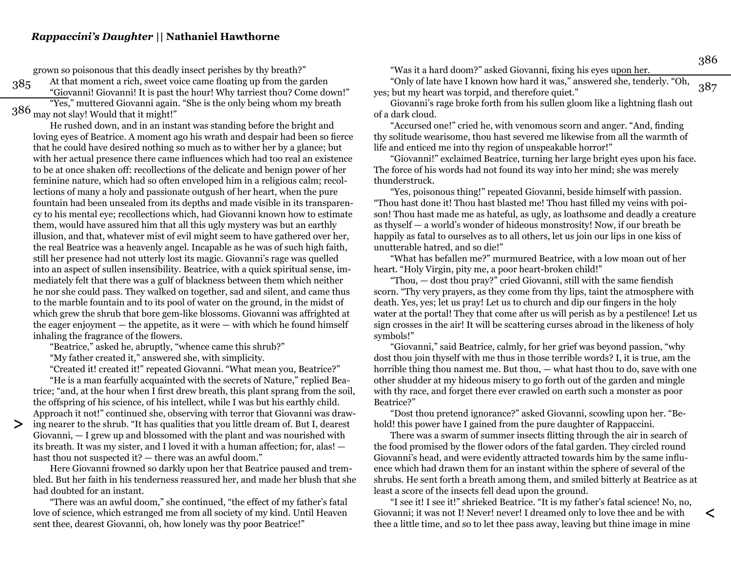grown so poisonous that this deadly insect perishes by thy breath?" At that moment a rich, sweet voice came floating up from the garden "Giovanni! Giovanni! It is past the hour! Why tarriest thou? Come down!" "Yes," muttered Giovanni again. "She is the only being whom my breath  $386$  may not slay! Would that it might!" 385

He rushed down, and in an instant was standing before the bright and loving eyes of Beatrice. A moment ago his wrath and despair had been so fierce that he could have desired nothing so much as to wither her by a glance; but with her actual presence there came influences which had too real an existence to be at once shaken off: recollections of the delicate and benign power of her feminine nature, which had so often enveloped him in a religious calm; recollections of many a holy and passionate outgush of her heart, when the pure fountain had been unsealed from its depths and made visible in its transparency to his mental eye; recollections which, had Giovanni known how to estimate them, would have assured him that all this ugly mystery was but an earthly illusion, and that, whatever mist of evil might seem to have gathered over her, the real Beatrice was a heavenly angel. Incapable as he was of such high faith, still her presence had not utterly lost its magic. Giovanni's rage was quelled into an aspect of sullen insensibility. Beatrice, with a quick spiritual sense, immediately felt that there was a gulf of blackness between them which neither he nor she could pass. They walked on together, sad and silent, and came thus to the marble fountain and to its pool of water on the ground, in the midst of which grew the shrub that bore gem-like blossoms. Giovanni was affrighted at the eager enjoyment — the appetite, as it were — with which he found himself inhaling the fragrance of the flowers.

"Beatrice," asked he, abruptly, "whence came this shrub?"

"My father created it," answered she, with simplicity.

"Created it! created it!" repeated Giovanni. "What mean you, Beatrice?"

"He is a man fearfully acquainted with the secrets of Nature," replied Beatrice; "and, at the hour when I first drew breath, this plant sprang from the soil, the offspring of his science, of his intellect, while I was but his earthly child. Approach it not!" continued she, observing with terror that Giovanni was drawing nearer to the shrub. "It has qualities that you little dream of. But I, dearest **<** Giovanni, — I grew up and blossomed with the plant and was nourished with its breath. It was my sister, and I loved it with a human affection; for, alas! hast thou not suspected it? — there was an awful doom."

Here Giovanni frowned so darkly upon her that Beatrice paused and trembled. But her faith in his tenderness reassured her, and made her blush that she had doubted for an instant.

"There was an awful doom," she continued, "the effect of my father's fatal love of science, which estranged me from all society of my kind. Until Heaven sent thee, dearest Giovanni, oh, how lonely was thy poor Beatrice!"

"Was it a hard doom?" asked Giovanni, fixing his eyes upon her.

"Only of late have I known how hard it was," answered she, tenderly. "Oh, yes; but my heart was torpid, and therefore quiet."

Giovanni's rage broke forth from his sullen gloom like a lightning flash out of a dark cloud.

"Accursed one!" cried he, with venomous scorn and anger. "And, finding thy solitude wearisome, thou hast severed me likewise from all the warmth of life and enticed me into thy region of unspeakable horror!"

"Giovanni!" exclaimed Beatrice, turning her large bright eyes upon his face. The force of his words had not found its way into her mind; she was merely thunderstruck.

"Yes, poisonous thing!" repeated Giovanni, beside himself with passion. "Thou hast done it! Thou hast blasted me! Thou hast filled my veins with poison! Thou hast made me as hateful, as ugly, as loathsome and deadly a creature as thyself — a world's wonder of hideous monstrosity! Now, if our breath be happily as fatal to ourselves as to all others, let us join our lips in one kiss of unutterable hatred, and so die!"

"What has befallen me?" murmured Beatrice, with a low moan out of her heart. "Holy Virgin, pity me, a poor heart-broken child!"

"Thou, — dost thou pray?" cried Giovanni, still with the same fiendish scorn. "Thy very prayers, as they come from thy lips, taint the atmosphere with death. Yes, yes; let us pray! Let us to church and dip our fingers in the holy water at the portal! They that come after us will perish as by a pestilence! Let us sign crosses in the air! It will be scattering curses abroad in the likeness of holy symbols!"

"Giovanni," said Beatrice, calmly, for her grief was beyond passion, "why dost thou join thyself with me thus in those terrible words? I, it is true, am the horrible thing thou namest me. But thou, — what hast thou to do, save with one other shudder at my hideous misery to go forth out of the garden and mingle with thy race, and forget there ever crawled on earth such a monster as poor Beatrice?"

"Dost thou pretend ignorance?" asked Giovanni, scowling upon her. "Behold! this power have I gained from the pure daughter of Rappaccini.

There was a swarm of summer insects flitting through the air in search of the food promised by the flower odors of the fatal garden. They circled round Giovanni's head, and were evidently attracted towards him by the same influence which had drawn them for an instant within the sphere of several of the shrubs. He sent forth a breath among them, and smiled bitterly at Beatrice as at least a score of the insects fell dead upon the ground.

"I see it! I see it!" shrieked Beatrice. "It is my father's fatal science! No, no, Giovanni; it was not I! Never! never! I dreamed only to love thee and be with thee a little time, and so to let thee pass away, leaving but thine image in mine

386

387

**<**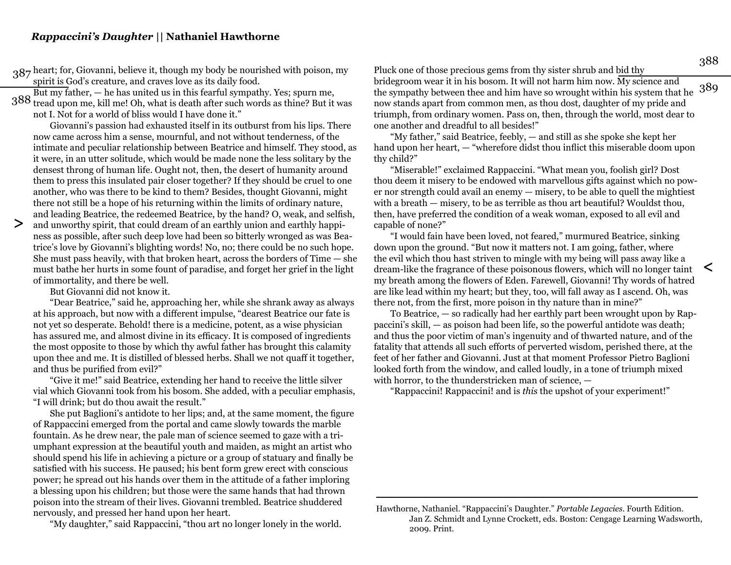$387$  heart; for, Giovanni, believe it, though my body be nourished with poison, my spirit is God's creature, and craves love as its daily food.

But my father,  $-$  he has united us in this fearful sympathy. Yes; spurn me,

388 tread upon me, kill me! Oh, what is death after such words as thine? But it was not I. Not for a world of bliss would I have done it."

Giovanni's passion had exhausted itself in its outburst from his lips. There now came across him a sense, mournful, and not without tenderness, of the intimate and peculiar relationship between Beatrice and himself. They stood, as it were, in an utter solitude, which would be made none the less solitary by the densest throng of human life. Ought not, then, the desert of humanity around them to press this insulated pair closer together? If they should be cruel to one another, who was there to be kind to them? Besides, thought Giovanni, might there not still be a hope of his returning within the limits of ordinary nature, and leading Beatrice, the redeemed Beatrice, by the hand? O, weak, and selfish, and unworthy spirit, that could dream of an earthly union and earthly happiness as possible, after such deep love had been so bitterly wronged as was Beatrice's love by Giovanni's blighting words! No, no; there could be no such hope. She must pass heavily, with that broken heart, across the borders of Time — she must bathe her hurts in some fount of paradise, and forget her grief in the light of immortality, and there be well.

But Giovanni did not know it.

**<**

"Dear Beatrice," said he, approaching her, while she shrank away as always at his approach, but now with a different impulse, "dearest Beatrice our fate is not yet so desperate. Behold! there is a medicine, potent, as a wise physician has assured me, and almost divine in its efficacy. It is composed of ingredients the most opposite to those by which thy awful father has brought this calamity upon thee and me. It is distilled of blessed herbs. Shall we not quaff it together, and thus be purified from evil?"

"Give it me!" said Beatrice, extending her hand to receive the little silver vial which Giovanni took from his bosom. She added, with a peculiar emphasis, "I will drink; but do thou await the result."

She put Baglioni's antidote to her lips; and, at the same moment, the figure of Rappaccini emerged from the portal and came slowly towards the marble fountain. As he drew near, the pale man of science seemed to gaze with a triumphant expression at the beautiful youth and maiden, as might an artist who should spend his life in achieving a picture or a group of statuary and finally be satisfied with his success. He paused; his bent form grew erect with conscious power; he spread out his hands over them in the attitude of a father imploring a blessing upon his children; but those were the same hands that had thrown poison into the stream of their lives. Giovanni trembled. Beatrice shuddered nervously, and pressed her hand upon her heart.

"My daughter," said Rappaccini, "thou art no longer lonely in the world.

Pluck one of those precious gems from thy sister shrub and bid thy bridegroom wear it in his bosom. It will not harm him now. My science and the sympathy between thee and him have so wrought within his system that he now stands apart from common men, as thou dost, daughter of my pride and triumph, from ordinary women. Pass on, then, through the world, most dear to one another and dreadful to all besides!" 389

"My father," said Beatrice, feebly, — and still as she spoke she kept her hand upon her heart, — "wherefore didst thou inflict this miserable doom upon thy child?"

"Miserable!" exclaimed Rappaccini. "What mean you, foolish girl? Dost thou deem it misery to be endowed with marvellous gifts against which no power nor strength could avail an enemy — misery, to be able to quell the mightiest with a breath — misery, to be as terrible as thou art beautiful? Wouldst thou, then, have preferred the condition of a weak woman, exposed to all evil and capable of none?"

"I would fain have been loved, not feared," murmured Beatrice, sinking down upon the ground. "But now it matters not. I am going, father, where the evil which thou hast striven to mingle with my being will pass away like a dream-like the fragrance of these poisonous flowers, which will no longer taint my breath among the flowers of Eden. Farewell, Giovanni! Thy words of hatred are like lead within my heart; but they, too, will fall away as I ascend. Oh, was there not, from the first, more poison in thy nature than in mine?" **<**

To Beatrice, — so radically had her earthly part been wrought upon by Rappaccini's skill, — as poison had been life, so the powerful antidote was death; and thus the poor victim of man's ingenuity and of thwarted nature, and of the fatality that attends all such efforts of perverted wisdom, perished there, at the feet of her father and Giovanni. Just at that moment Professor Pietro Baglioni looked forth from the window, and called loudly, in a tone of triumph mixed with horror, to the thunderstricken man of science, —

"Rappaccini! Rappaccini! and is *this* the upshot of your experiment!"

388

Hawthorne, Nathaniel. "Rappaccini's Daughter." *Portable Legacies*. Fourth Edition. Jan Z. Schmidt and Lynne Crockett, eds. Boston: Cengage Learning Wadsworth, 2009. Print.